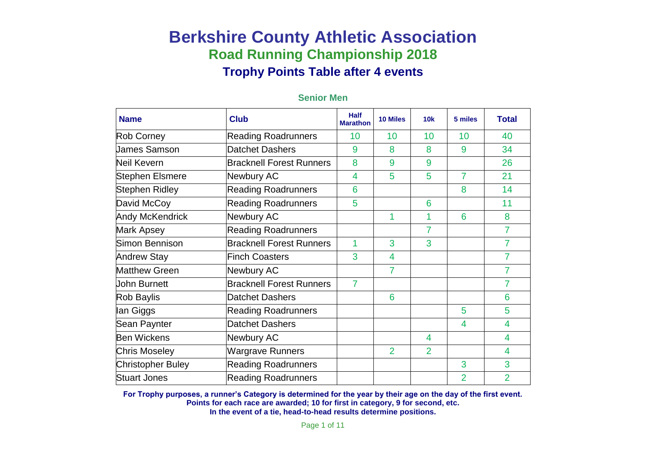| <b>Name</b>              | <b>Club</b>                     | <b>Half</b><br><b>Marathon</b> | <b>10 Miles</b> | 10k            | 5 miles        | <b>Total</b>   |
|--------------------------|---------------------------------|--------------------------------|-----------------|----------------|----------------|----------------|
| Rob Corney               | <b>Reading Roadrunners</b>      | 10                             | 10              | 10             | 10             | 40             |
| James Samson             | <b>Datchet Dashers</b>          | 9                              | 8               | 8              | 9              | 34             |
| Neil Kevern              | <b>Bracknell Forest Runners</b> | 8                              | 9               | 9              |                | 26             |
| Stephen Elsmere          | Newbury AC                      | 4                              | 5               | 5              | 7              | 21             |
| Stephen Ridley           | <b>Reading Roadrunners</b>      | 6                              |                 |                | 8              | 14             |
| David McCoy              | <b>Reading Roadrunners</b>      | 5                              |                 | 6              |                | 11             |
| <b>Andy McKendrick</b>   | Newbury AC                      |                                | 1               | 1              | 6              | 8              |
| <b>Mark Apsey</b>        | <b>Reading Roadrunners</b>      |                                |                 | $\overline{7}$ |                | $\overline{7}$ |
| Simon Bennison           | <b>Bracknell Forest Runners</b> | 1                              | 3               | 3              |                | 7              |
| <b>Andrew Stay</b>       | <b>Finch Coasters</b>           | 3                              | 4               |                |                | 7              |
| <b>Matthew Green</b>     | Newbury AC                      |                                | 7               |                |                | $\overline{7}$ |
| <b>John Burnett</b>      | <b>Bracknell Forest Runners</b> | 7                              |                 |                |                | 7              |
| Rob Baylis               | <b>Datchet Dashers</b>          |                                | 6               |                |                | 6              |
| lan Giggs                | <b>Reading Roadrunners</b>      |                                |                 |                | 5              | 5              |
| Sean Paynter             | <b>Datchet Dashers</b>          |                                |                 |                | 4              | 4              |
| <b>Ben Wickens</b>       | Newbury AC                      |                                |                 | 4              |                | 4              |
| <b>Chris Moseley</b>     | <b>Wargrave Runners</b>         |                                | $\overline{2}$  | $\overline{2}$ |                | 4              |
| <b>Christopher Buley</b> | <b>Reading Roadrunners</b>      |                                |                 |                | 3              | 3              |
| <b>Stuart Jones</b>      | <b>Reading Roadrunners</b>      |                                |                 |                | $\overline{2}$ | $\overline{2}$ |

#### **Senior Men**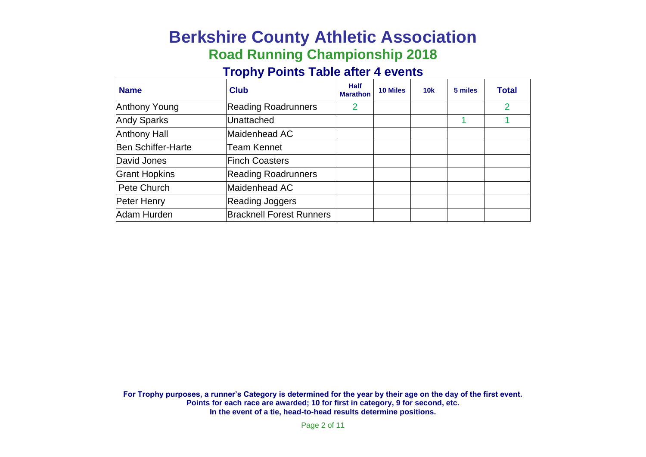# **Berkshire County Athletic Association Road Running Championship 2018**

### **Trophy Points Table after 4 events**

| <b>Name</b>               | <b>Club</b>                     | <b>Half</b><br><b>Marathon</b> | 10 Miles | 10k | 5 miles | <b>Total</b> |
|---------------------------|---------------------------------|--------------------------------|----------|-----|---------|--------------|
| Anthony Young             | <b>Reading Roadrunners</b>      | 2                              |          |     |         | 2            |
| <b>Andy Sparks</b>        | Unattached                      |                                |          |     |         |              |
| <b>Anthony Hall</b>       | Maidenhead AC                   |                                |          |     |         |              |
| <b>Ben Schiffer-Harte</b> | Team Kennet                     |                                |          |     |         |              |
| David Jones               | <b>Finch Coasters</b>           |                                |          |     |         |              |
| <b>Grant Hopkins</b>      | <b>Reading Roadrunners</b>      |                                |          |     |         |              |
| Pete Church               | Maidenhead AC                   |                                |          |     |         |              |
| Peter Henry               | Reading Joggers                 |                                |          |     |         |              |
| Adam Hurden               | <b>Bracknell Forest Runners</b> |                                |          |     |         |              |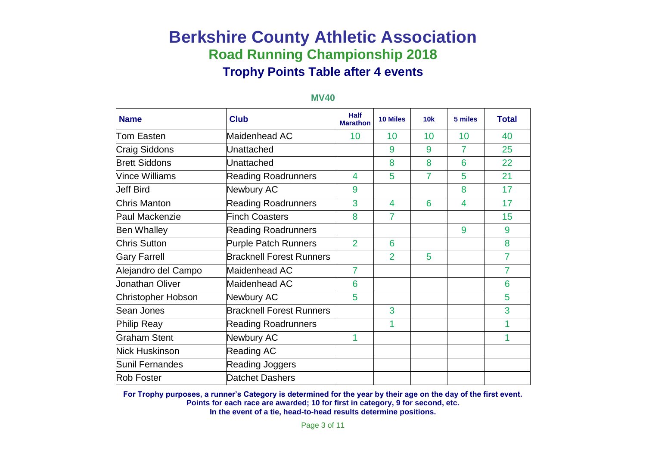| <b>Name</b>           | <b>Club</b>                     | <b>Half</b><br><b>Marathon</b> | <b>10 Miles</b> | 10k | 5 miles | <b>Total</b>   |
|-----------------------|---------------------------------|--------------------------------|-----------------|-----|---------|----------------|
| Tom Easten            | Maidenhead AC                   | 10                             | 10              | 10  | 10      | 40             |
| <b>Craig Siddons</b>  | Unattached                      |                                | 9               | 9   | 7       | 25             |
| <b>Brett Siddons</b>  | Unattached                      |                                | 8               | 8   | 6       | 22             |
| <b>Vince Williams</b> | <b>Reading Roadrunners</b>      | 4                              | 5               | 7   | 5       | 21             |
| <b>Jeff Bird</b>      | Newbury AC                      | 9                              |                 |     | 8       | 17             |
| Chris Manton          | <b>Reading Roadrunners</b>      | 3                              | $\overline{4}$  | 6   | 4       | 17             |
| Paul Mackenzie        | <b>Finch Coasters</b>           | 8                              | $\overline{7}$  |     |         | 15             |
| <b>Ben Whalley</b>    | <b>Reading Roadrunners</b>      |                                |                 |     | 9       | 9              |
| <b>Chris Sutton</b>   | <b>Purple Patch Runners</b>     | $\overline{2}$                 | 6               |     |         | 8              |
| <b>Gary Farrell</b>   | <b>Bracknell Forest Runners</b> |                                | $\overline{2}$  | 5   |         | $\overline{7}$ |
| Alejandro del Campo   | Maidenhead AC                   | $\overline{7}$                 |                 |     |         | 7              |
| Jonathan Oliver       | Maidenhead AC                   | 6                              |                 |     |         | 6              |
| Christopher Hobson    | Newbury AC                      | 5                              |                 |     |         | 5              |
| Sean Jones            | <b>Bracknell Forest Runners</b> |                                | 3               |     |         | 3              |
| Philip Reay           | <b>Reading Roadrunners</b>      |                                | 1               |     |         | 1              |
| <b>Graham Stent</b>   | Newbury AC                      | 1                              |                 |     |         | 1              |
| <b>Nick Huskinson</b> | Reading AC                      |                                |                 |     |         |                |
| Sunil Fernandes       | Reading Joggers                 |                                |                 |     |         |                |
| <b>Rob Foster</b>     | <b>Datchet Dashers</b>          |                                |                 |     |         |                |

#### **MV40**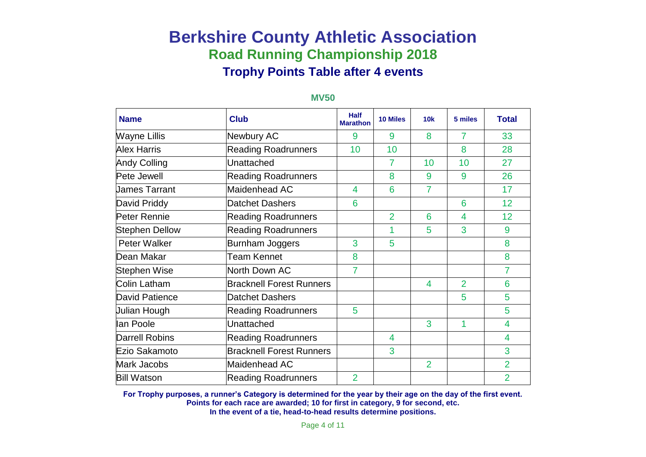| <b>Name</b>           | <b>Club</b>                     | <b>Half</b><br><b>Marathon</b> | <b>10 Miles</b> | 10k            | 5 miles        | <b>Total</b>   |
|-----------------------|---------------------------------|--------------------------------|-----------------|----------------|----------------|----------------|
| <b>Wayne Lillis</b>   | Newbury AC                      | 9                              | 9               | 8              | 7              | 33             |
| <b>Alex Harris</b>    | <b>Reading Roadrunners</b>      | 10                             | 10              |                | 8              | 28             |
| <b>Andy Colling</b>   | Unattached                      |                                | 7               | 10             | 10             | 27             |
| Pete Jewell           | <b>Reading Roadrunners</b>      |                                | 8               | 9              | 9              | 26             |
| <b>James Tarrant</b>  | Maidenhead AC                   | 4                              | 6               | 7              |                | 17             |
| David Priddy          | <b>Datchet Dashers</b>          | 6                              |                 |                | 6              | 12             |
| Peter Rennie          | <b>Reading Roadrunners</b>      |                                | $\overline{2}$  | 6              | 4              | 12             |
| <b>Stephen Dellow</b> | <b>Reading Roadrunners</b>      |                                |                 | 5              | 3              | 9              |
| Peter Walker          | <b>Burnham Joggers</b>          | 3                              | 5               |                |                | 8              |
| Dean Makar            | <b>Team Kennet</b>              | 8                              |                 |                |                | 8              |
| Stephen Wise          | North Down AC                   | $\overline{7}$                 |                 |                |                | 7              |
| Colin Latham          | <b>Bracknell Forest Runners</b> |                                |                 | 4              | $\overline{2}$ | 6              |
| David Patience        | <b>Datchet Dashers</b>          |                                |                 |                | 5              | 5              |
| Julian Hough          | <b>Reading Roadrunners</b>      | 5                              |                 |                |                | 5              |
| lan Poole             | Unattached                      |                                |                 | 3              | 1              | 4              |
| <b>Darrell Robins</b> | <b>Reading Roadrunners</b>      |                                | 4               |                |                | 4              |
| Ezio Sakamoto         | <b>Bracknell Forest Runners</b> |                                | 3               |                |                | 3              |
| Mark Jacobs           | Maidenhead AC                   |                                |                 | $\overline{2}$ |                | $\overline{2}$ |
| <b>Bill Watson</b>    | <b>Reading Roadrunners</b>      | $\overline{2}$                 |                 |                |                | $\overline{2}$ |

#### **MV50**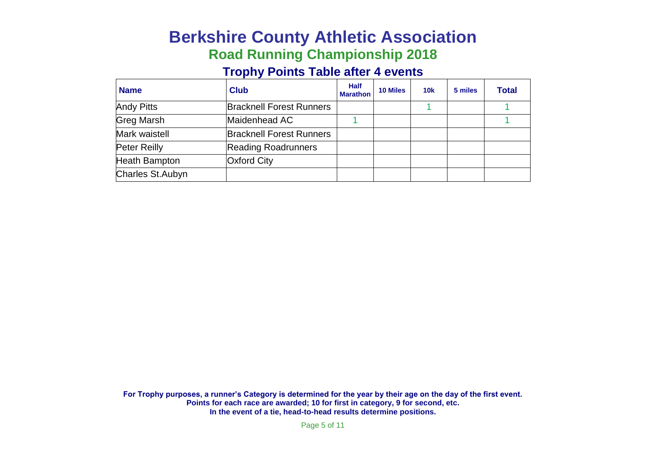# **Berkshire County Athletic Association Road Running Championship 2018**

### **Trophy Points Table after 4 events**

| <b>Name</b>          | <b>Club</b>                     | <b>Half</b><br><b>Marathon</b> | <b>10 Miles</b> | 10k | 5 miles | <b>Total</b> |
|----------------------|---------------------------------|--------------------------------|-----------------|-----|---------|--------------|
| <b>Andy Pitts</b>    | <b>Bracknell Forest Runners</b> |                                |                 |     |         |              |
| <b>Greg Marsh</b>    | Maidenhead AC                   |                                |                 |     |         |              |
| Mark waistell        | <b>Bracknell Forest Runners</b> |                                |                 |     |         |              |
| <b>Peter Reilly</b>  | <b>Reading Roadrunners</b>      |                                |                 |     |         |              |
| <b>Heath Bampton</b> | <b>Oxford City</b>              |                                |                 |     |         |              |
| Charles St.Aubyn     |                                 |                                |                 |     |         |              |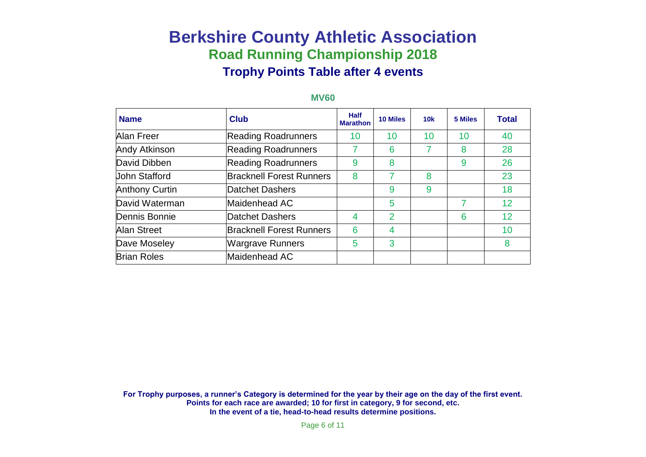| <b>Name</b>           | <b>Club</b>                     | <b>Half</b><br><b>Marathon</b> | 10 Miles       | 10k | 5 Miles | <b>Total</b> |
|-----------------------|---------------------------------|--------------------------------|----------------|-----|---------|--------------|
| <b>Alan Freer</b>     | <b>Reading Roadrunners</b>      | 10                             | 10             | 10  | 10      | 40           |
| <b>Andy Atkinson</b>  | <b>Reading Roadrunners</b>      | 7                              | 6              | 7   | 8       | 28           |
| David Dibben          | <b>Reading Roadrunners</b>      | 9                              | 8              |     | 9       | 26           |
| Uohn Stafford         | <b>Bracknell Forest Runners</b> | 8                              | 7              | 8   |         | 23           |
| <b>Anthony Curtin</b> | Datchet Dashers                 |                                | 9              | 9   |         | 18           |
| David Waterman        | Maidenhead AC                   |                                | 5              |     |         | 12           |
| Dennis Bonnie         | Datchet Dashers                 | 4                              | $\overline{2}$ |     | 6       | 12           |
| Alan Street           | <b>Bracknell Forest Runners</b> | 6                              | 4              |     |         | 10           |
| Dave Moseley          | <b>Wargrave Runners</b>         | 5                              | 3              |     |         | 8            |
| <b>Brian Roles</b>    | Maidenhead AC                   |                                |                |     |         |              |

#### **MV60**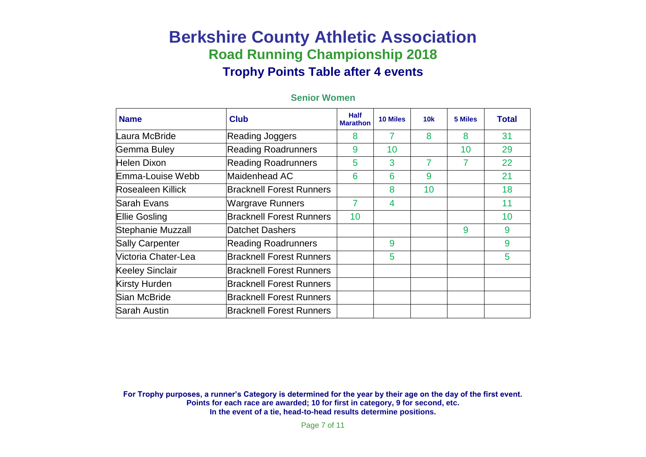| <b>Name</b>              | <b>Club</b>                     | <b>Half</b><br><b>Marathon</b> | <b>10 Miles</b> | 10k | 5 Miles | <b>Total</b> |
|--------------------------|---------------------------------|--------------------------------|-----------------|-----|---------|--------------|
| Laura McBride            | <b>Reading Joggers</b>          | 8                              | 7               | 8   | 8       | 31           |
| Gemma Buley              | <b>Reading Roadrunners</b>      | 9                              | 10              |     | 10      | 29           |
| Helen Dixon              | <b>Reading Roadrunners</b>      | 5                              | 3               | 7   |         | 22           |
| Emma-Louise Webb         | Maidenhead AC                   | 6                              | 6               | 9   |         | 21           |
| <b>Rosealeen Killick</b> | <b>Bracknell Forest Runners</b> |                                | 8               | 10  |         | 18           |
| lSarah Evans             | <b>Wargrave Runners</b>         | 7                              | 4               |     |         | 11           |
| <b>Ellie Gosling</b>     | <b>Bracknell Forest Runners</b> | 10                             |                 |     |         | 10           |
| Stephanie Muzzall        | Datchet Dashers                 |                                |                 |     | 9       | 9            |
| <b>Sally Carpenter</b>   | <b>Reading Roadrunners</b>      |                                | 9               |     |         | 9            |
| Victoria Chater-Lea      | <b>Bracknell Forest Runners</b> |                                | 5               |     |         | 5            |
| <b>Keeley Sinclair</b>   | <b>Bracknell Forest Runners</b> |                                |                 |     |         |              |
| Kirsty Hurden            | <b>Bracknell Forest Runners</b> |                                |                 |     |         |              |
| Sian McBride             | <b>Bracknell Forest Runners</b> |                                |                 |     |         |              |
| Sarah Austin             | <b>Bracknell Forest Runners</b> |                                |                 |     |         |              |

#### **Senior Women**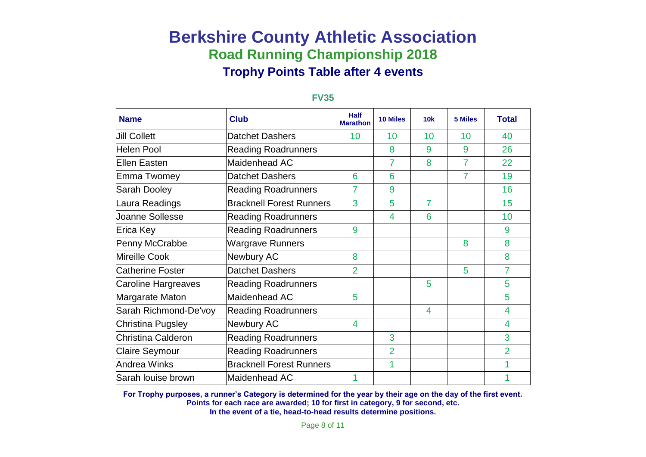| <b>Name</b>             | <b>Club</b>                     | <b>Half</b><br><b>Marathon</b> | <b>10 Miles</b> | 10k | 5 Miles | <b>Total</b>   |
|-------------------------|---------------------------------|--------------------------------|-----------------|-----|---------|----------------|
| <b>Jill Collett</b>     | <b>Datchet Dashers</b>          | 10                             | 10              | 10  | 10      | 40             |
| Helen Pool              | <b>Reading Roadrunners</b>      |                                | 8               | 9   | 9       | 26             |
| <b>Ellen Easten</b>     | Maidenhead AC                   |                                | 7               | 8   | 7       | 22             |
| Emma Twomey             | Datchet Dashers                 | 6                              | 6               |     | 7       | 19             |
| Sarah Dooley            | <b>Reading Roadrunners</b>      | 7                              | 9               |     |         | 16             |
| Laura Readings          | <b>Bracknell Forest Runners</b> | 3                              | 5               | 7   |         | 15             |
| <b>Joanne Sollesse</b>  | <b>Reading Roadrunners</b>      |                                | 4               | 6   |         | 10             |
| Erica Key               | <b>Reading Roadrunners</b>      | 9                              |                 |     |         | 9              |
| Penny McCrabbe          | <b>Wargrave Runners</b>         |                                |                 |     | 8       | 8              |
| Mireille Cook           | Newbury AC                      | 8                              |                 |     |         | 8              |
| <b>Catherine Foster</b> | Datchet Dashers                 | $\overline{2}$                 |                 |     | 5       | $\overline{7}$ |
| Caroline Hargreaves     | <b>Reading Roadrunners</b>      |                                |                 | 5   |         | 5              |
| Margarate Maton         | Maidenhead AC                   | 5                              |                 |     |         | 5              |
| Sarah Richmond-De'voy   | <b>Reading Roadrunners</b>      |                                |                 | 4   |         | 4              |
| Christina Pugsley       | Newbury AC                      | 4                              |                 |     |         | 4              |
| Christina Calderon      | <b>Reading Roadrunners</b>      |                                | 3               |     |         | 3              |
| <b>Claire Seymour</b>   | <b>Reading Roadrunners</b>      |                                | $\overline{2}$  |     |         | $\overline{2}$ |
| Andrea Winks            | <b>Bracknell Forest Runners</b> |                                | 1               |     |         | 1              |
| Sarah louise brown      | Maidenhead AC                   |                                |                 |     |         |                |

#### **FV35**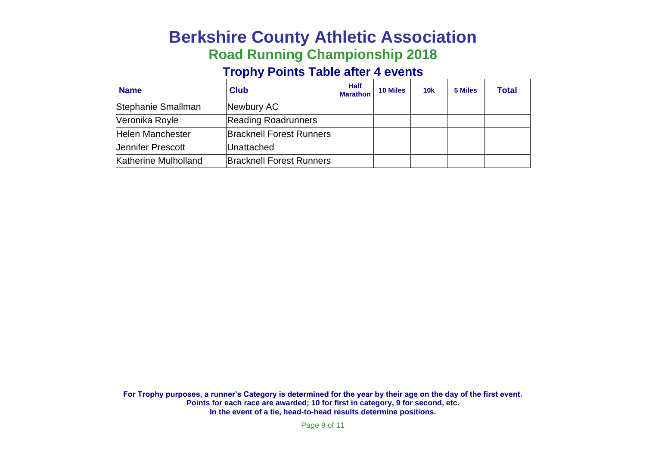# **Berkshire County Athletic Association Road Running Championship 2018**

### **Trophy Points Table after 4 events**

| <b>Name</b>              | <b>Club</b>                     | <b>Half</b><br><b>Marathon</b> | <b>10 Miles</b> | 10k | 5 Miles | <b>Total</b> |
|--------------------------|---------------------------------|--------------------------------|-----------------|-----|---------|--------------|
| Stephanie Smallman       | Newbury AC                      |                                |                 |     |         |              |
| Veronika Royle           | <b>Reading Roadrunners</b>      |                                |                 |     |         |              |
| Helen Manchester         | <b>Bracknell Forest Runners</b> |                                |                 |     |         |              |
| <b>Uennifer Prescott</b> | <b>Unattached</b>               |                                |                 |     |         |              |
| Katherine Mulholland     | <b>Bracknell Forest Runners</b> |                                |                 |     |         |              |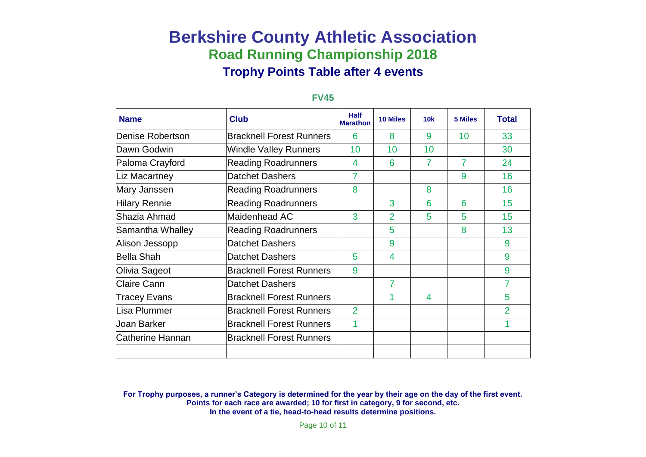| <b>Name</b>          | <b>Club</b>                     | <b>Half</b><br><b>Marathon</b> | <b>10 Miles</b> | 10k | 5 Miles | <b>Total</b> |
|----------------------|---------------------------------|--------------------------------|-----------------|-----|---------|--------------|
| Denise Robertson     | <b>Bracknell Forest Runners</b> | 6                              | 8               | 9   | 10      | 33           |
| Dawn Godwin          | Windle Valley Runners           | 10                             | 10              | 10  |         | 30           |
| Paloma Crayford      | <b>Reading Roadrunners</b>      | 4                              | 6               | 7   | 7       | 24           |
| Liz Macartney        | Datchet Dashers                 | 7                              |                 |     | 9       | 16           |
| Mary Janssen         | <b>Reading Roadrunners</b>      | 8                              |                 | 8   |         | 16           |
| <b>Hilary Rennie</b> | <b>Reading Roadrunners</b>      |                                | 3               | 6   | 6       | 15           |
| Shazia Ahmad         | Maidenhead AC                   | 3                              | $\overline{2}$  | 5   | 5       | 15           |
| Samantha Whalley     | <b>Reading Roadrunners</b>      |                                | 5               |     | 8       | 13           |
| Alison Jessopp       | Datchet Dashers                 |                                | 9               |     |         | 9            |
| <b>Bella Shah</b>    | Datchet Dashers                 | 5                              | 4               |     |         | 9            |
| Olivia Sageot        | <b>Bracknell Forest Runners</b> | 9                              |                 |     |         | 9            |
| <b>Claire Cann</b>   | Datchet Dashers                 |                                | 7               |     |         | 7            |
| Tracey Evans         | <b>Bracknell Forest Runners</b> |                                | 1               | 4   |         | 5            |
| Lisa Plummer         | <b>Bracknell Forest Runners</b> | $\overline{2}$                 |                 |     |         | 2            |
| Uoan Barker          | <b>Bracknell Forest Runners</b> | 1                              |                 |     |         |              |
| Catherine Hannan     | <b>Bracknell Forest Runners</b> |                                |                 |     |         |              |
|                      |                                 |                                |                 |     |         |              |

#### **FV45**